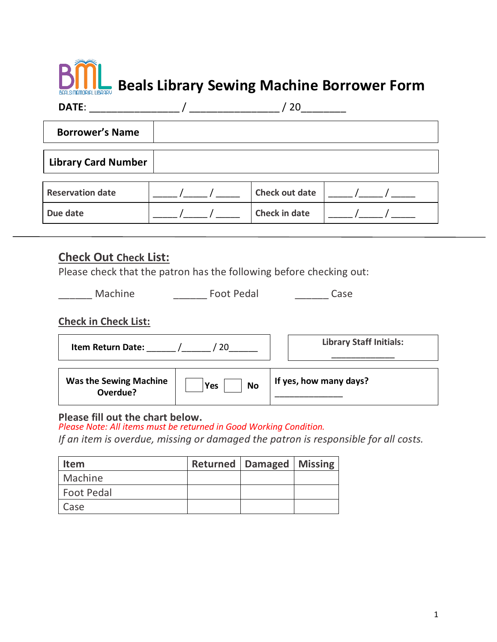# **Beals Library Sewing Machine Borrower Form**

| DATE:                      | 20                    |  |
|----------------------------|-----------------------|--|
| <b>Borrower's Name</b>     |                       |  |
| <b>Library Card Number</b> |                       |  |
| <b>Reservation date</b>    | <b>Check out date</b> |  |
| Due date                   | <b>Check in date</b>  |  |

### **Check Out Check List:**

Please check that the patron has the following before checking out:

\_\_\_\_\_ Machine \_\_\_\_\_\_\_\_\_\_ Foot Pedal \_\_\_\_\_\_\_\_\_ Case

#### **Check in Check List:**

| <b>Item Return Date:</b>                  |                  | <b>Library Staff Initials:</b> |
|-------------------------------------------|------------------|--------------------------------|
| <b>Was the Sewing Machine</b><br>Overdue? | <b>No</b><br>Yes | If yes, how many days?         |

#### **Please fill out the chart below.**

*Please Note: All items must be returned in Good Working Condition.* 

*If an item is overdue, missing or damaged the patron is responsible for all costs.* 

| <b>Item</b>       | <b>Returned   Damaged   Missing</b> |  |
|-------------------|-------------------------------------|--|
| Machine           |                                     |  |
| <b>Foot Pedal</b> |                                     |  |
| Case              |                                     |  |